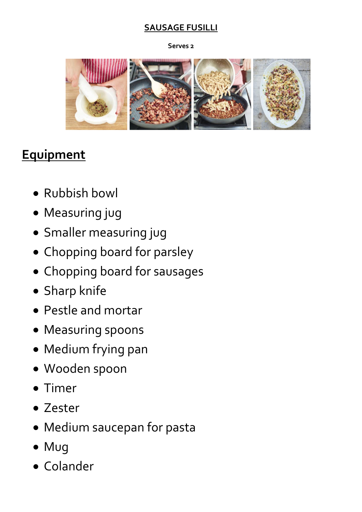#### **SAUSAGE FUSILLI**

#### **Serves 2**



## **Equipment**

- Rubbish bowl
- Measuring jug
- Smaller measuring jug
- Chopping board for parsley
- Chopping board for sausages
- Sharp knife
- Pestle and mortar
- Measuring spoons
- Medium frying pan
- Wooden spoon
- Timer
- Zester
- Medium saucepan for pasta
- Mug
- Colander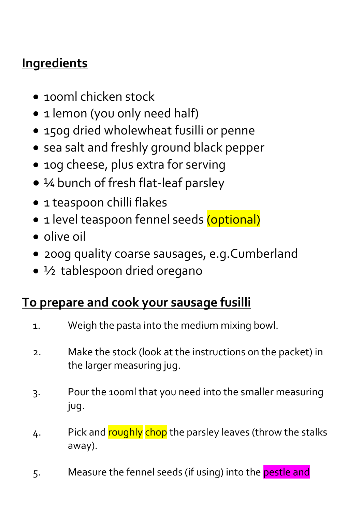# **Ingredients**

- 100ml chicken stock
- 1 lemon (you only need half)
- 150g dried wholewheat fusilli or penne
- sea salt and freshly ground black pepper
- 10g cheese, plus extra for serving
- ¼ bunch of fresh flat-leaf parsley
- 1 teaspoon chilli flakes
- 1 level teaspoon fennel seeds (optional)
- olive oil
- 200g quality coarse sausages, e.g.Cumberland
- 1/2 tablespoon dried oregano

### **To prepare and cook your sausage fusilli**

- 1. Weigh the pasta into the medium mixing bowl.
- 2. Make the stock (look at the instructions on the packet) in the larger measuring jug.
- 3. Pour the 100ml that you need into the smaller measuring jug.
- 4. Pick and roughly chop the parsley leaves (throw the stalks away).
- 5. Measure the fennel seeds (if using) into the **pestle and**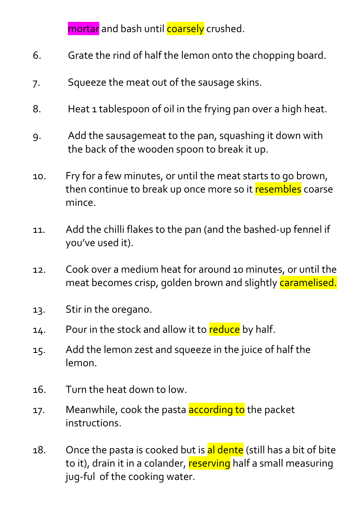mortar and bash until coarsely crushed.

- 6. Grate the rind of half the lemon onto the chopping board.
- 7. Squeeze the meat out of the sausage skins.
- 8. Heat 1 tablespoon of oil in the frying pan over a high heat.
- 9. Add the sausagemeat to the pan, squashing it down with the back of the wooden spoon to break it up.
- 10. Fry for a few minutes, or until the meat starts to go brown, then continue to break up once more so it resembles coarse mince.
- 11. Add the chilli flakes to the pan (and the bashed-up fennel if you've used it).
- 12. Cook over a medium heat for around 10 minutes, or until the meat becomes crisp, golden brown and slightly caramelised.
- 13. Stir in the oregano.
- 14. Pour in the stock and allow it to reduce by half.
- 15. Add the lemon zest and squeeze in the juice of half the lemon.
- 16. Turn the heat down to low.
- 17. Meanwhile, cook the pasta **according to** the packet instructions.
- 18. Once the pasta is cooked but is al dente (still has a bit of bite to it), drain it in a colander, reserving half a small measuring jug-ful of the cooking water.